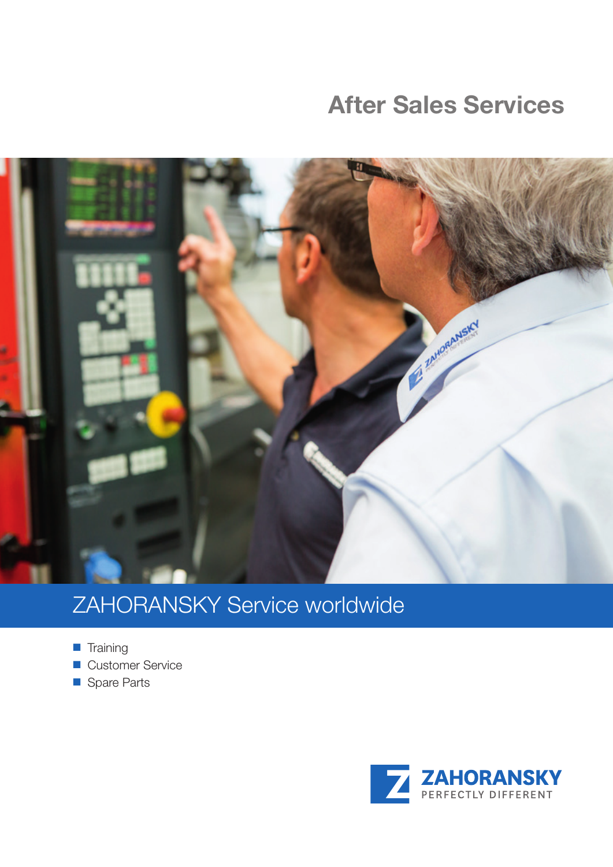## **After Sales Services**



# ZAHORANSKY Service worldwide

- $\blacksquare$  Training
- Customer Service
- Spare Parts

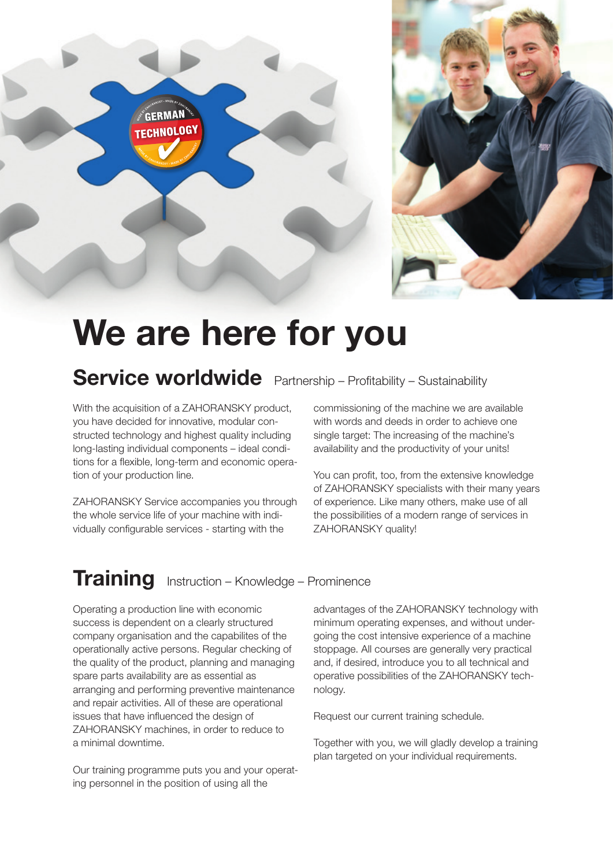



# **We are here for you**

### **Service worldwide** Partnership – Profitability – Sustainability

With the acquisition of a ZAHORANSKY product, you have decided for innovative, modular constructed technology and highest quality including long-lasting individual components – ideal conditions for a flexible, long-term and economic operation of your production line.

ZAHORANSKY Service accompanies you through the whole service life of your machine with individually configurable services - starting with the

commissioning of the machine we are available with words and deeds in order to achieve one single target: The increasing of the machine's availability and the productivity of your units!

You can profit, too, from the extensive knowledge of ZAHORANSKY specialists with their many years of experience. Like many others, make use of all the possibilities of a modern range of services in ZAHORANSKY quality!

# **Training** Instruction – Knowledge – Prominence

Operating a production line with economic success is dependent on a clearly structured company organisation and the capabilites of the operationally active persons. Regular checking of the quality of the product, planning and managing spare parts availability are as essential as arranging and performing preventive maintenance and repair activities. All of these are operational issues that have influenced the design of ZAHORANSKY machines, in order to reduce to a minimal downtime.

Our training programme puts you and your operating personnel in the position of using all the

advantages of the ZAHORANSKY technology with minimum operating expenses, and without undergoing the cost intensive experience of a machine stoppage. All courses are generally very practical and, if desired, introduce you to all technical and operative possibilities of the ZAHORANSKY technology.

Request our current training schedule.

Together with you, we will gladly develop a training plan targeted on your individual requirements.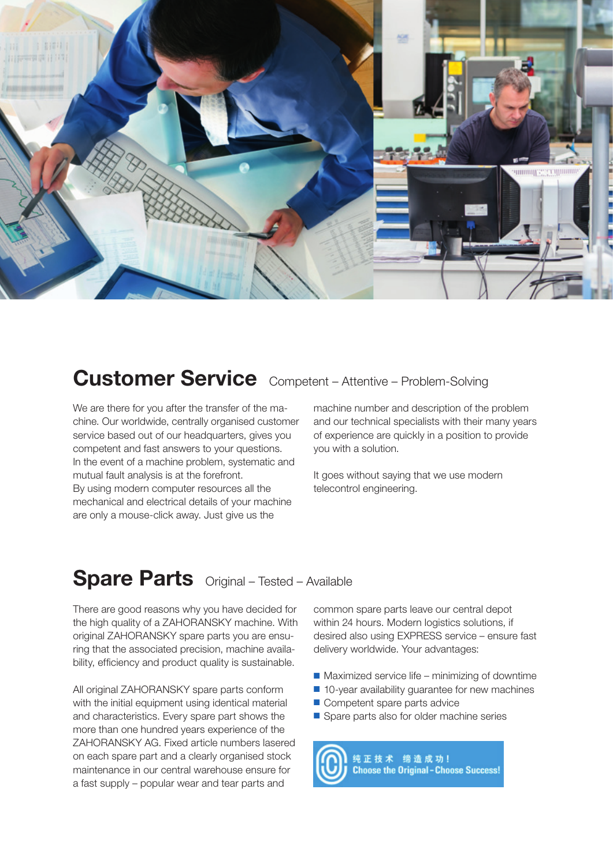

### Customer Service Competent - Attentive - Problem-Solving

We are there for you after the transfer of the machine. Our worldwide, centrally organised customer service based out of our headquarters, gives you competent and fast answers to your questions. In the event of a machine problem, systematic and mutual fault analysis is at the forefront. By using modern computer resources all the mechanical and electrical details of your machine are only a mouse-click away. Just give us the

machine number and description of the problem and our technical specialists with their many years of experience are quickly in a position to provide you with a solution.

It goes without saying that we use modern telecontrol engineering.

#### **Spare Parts** Original – Tested – Available

There are good reasons why you have decided for the high quality of a ZAHORANSKY machine. With original ZAHORANSKY spare parts you are ensuring that the associated precision, machine availability, efficiency and product quality is sustainable.

All original ZAHORANSKY spare parts conform with the initial equipment using identical material and characteristics. Every spare part shows the more than one hundred years experience of the ZAHORANSKY AG. Fixed article numbers lasered on each spare part and a clearly organised stock maintenance in our central warehouse ensure for a fast supply – popular wear and tear parts and

common spare parts leave our central depot within 24 hours. Modern logistics solutions, if desired also using EXPRESS service – ensure fast delivery worldwide. Your advantages:

- $\blacksquare$  Maximized service life minimizing of downtime
- $\blacksquare$  10-year availability guarantee for new machines
- Competent spare parts advice
- Spare parts also for older machine series